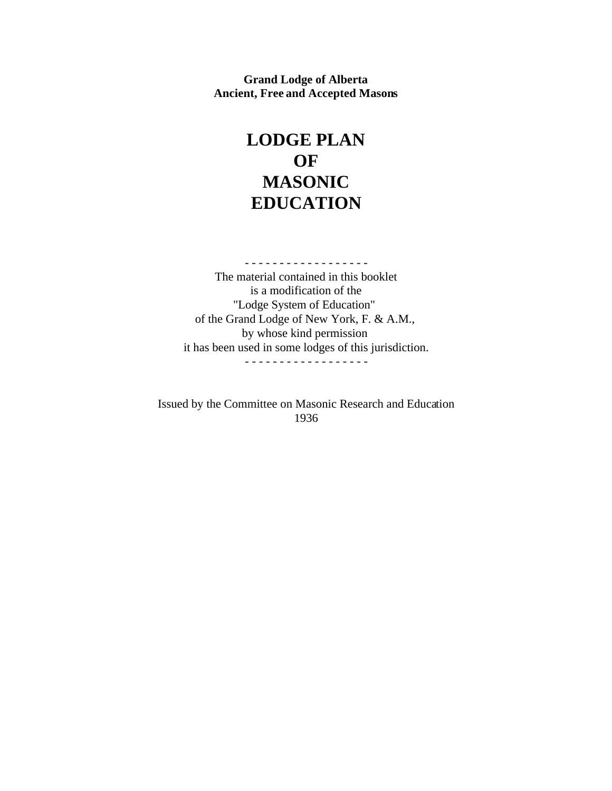**Grand Lodge of Alberta Ancient, Free and Accepted Masons**

# **LODGE PLAN OF MASONIC EDUCATION**

- - - - - - - - - - - - - - - - - - The material contained in this booklet is a modification of the "Lodge System of Education" of the Grand Lodge of New York, F. & A.M., by whose kind permission it has been used in some lodges of this jurisdiction. - - - - - - - - - - - - - - - - - -

Issued by the Committee on Masonic Research and Education 1936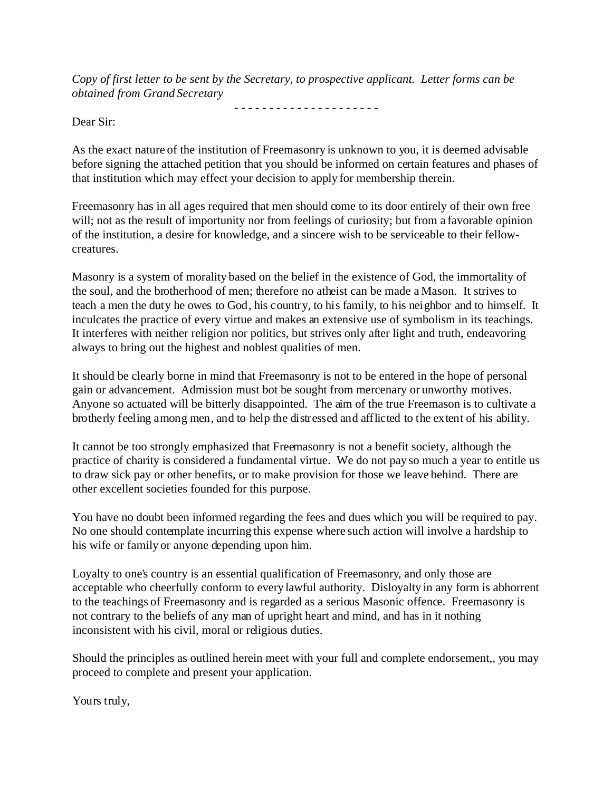*Copy of first letter to be sent by the Secretary, to prospective applicant. Letter forms can be obtained from Grand Secretary*

- - - - - - - - - - - - - - - - - - - - -

Dear Sir:

As the exact nature of the institution of Freemasonry is unknown to you, it is deemed advisable before signing the attached petition that you should be informed on certain features and phases of that institution which may effect your decision to apply for membership therein.

Freemasonry has in all ages required that men should come to its door entirely of their own free will; not as the result of importunity nor from feelings of curiosity; but from a favorable opinion of the institution, a desire for knowledge, and a sincere wish to be serviceable to their fellowcreatures.

Masonry is a system of morality based on the belief in the existence of God, the immortality of the soul, and the brotherhood of men; therefore no atheist can be made a Mason. It strives to teach a men the duty he owes to God, his country, to his family, to his neighbor and to himself. It inculcates the practice of every virtue and makes an extensive use of symbolism in its teachings. It interferes with neither religion nor politics, but strives only after light and truth, endeavoring always to bring out the highest and noblest qualities of men.

It should be clearly borne in mind that Freemasonry is not to be entered in the hope of personal gain or advancement. Admission must bot be sought from mercenary or unworthy motives. Anyone so actuated will be bitterly disappointed. The aim of the true Freemason is to cultivate a brotherly feeling among men, and to help the distressed and afflicted to the extent of his ability.

It cannot be too strongly emphasized that Freemasonry is not a benefit society, although the practice of charity is considered a fundamental virtue. We do not pay so much a year to entitle us to draw sick pay or other benefits, or to make provision for those we leave behind. There are other excellent societies founded for this purpose.

You have no doubt been informed regarding the fees and dues which you will be required to pay. No one should contemplate incurring this expense where such action will involve a hardship to his wife or family or anyone depending upon him.

Loyalty to one's country is an essential qualification of Freemasonry, and only those are acceptable who cheerfully conform to every lawful authority. Disloyalty in any form is abhorrent to the teachings of Freemasonry and is regarded as a serious Masonic offence. Freemasonry is not contrary to the beliefs of any man of upright heart and mind, and has in it nothing inconsistent with his civil, moral or religious duties.

Should the principles as outlined herein meet with your full and complete endorsement,, you may proceed to complete and present your application.

Yours truly,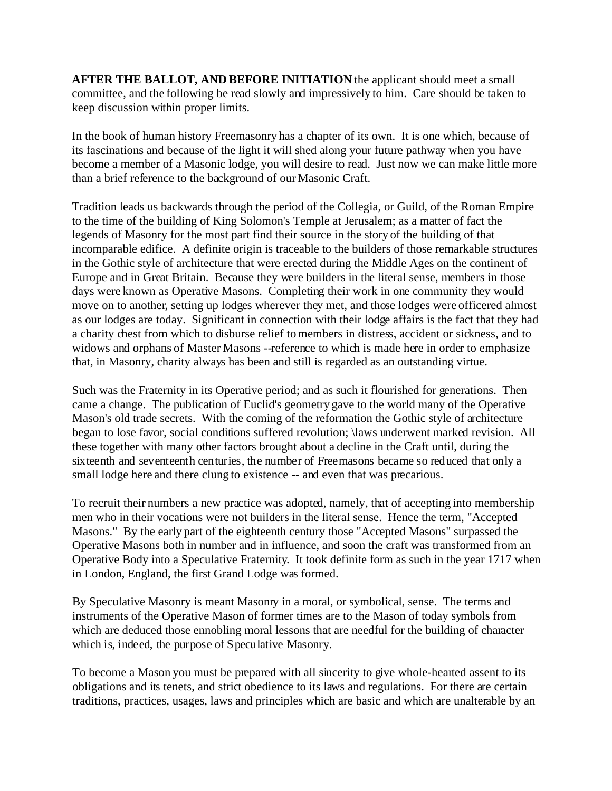**AFTER THE BALLOT, AND BEFORE INITIATION** the applicant should meet a small committee, and the following be read slowly and impressively to him. Care should be taken to keep discussion within proper limits.

In the book of human history Freemasonry has a chapter of its own. It is one which, because of its fascinations and because of the light it will shed along your future pathway when you have become a member of a Masonic lodge, you will desire to read. Just now we can make little more than a brief reference to the background of our Masonic Craft.

Tradition leads us backwards through the period of the Collegia, or Guild, of the Roman Empire to the time of the building of King Solomon's Temple at Jerusalem; as a matter of fact the legends of Masonry for the most part find their source in the story of the building of that incomparable edifice. A definite origin is traceable to the builders of those remarkable structures in the Gothic style of architecture that were erected during the Middle Ages on the continent of Europe and in Great Britain. Because they were builders in the literal sense, members in those days were known as Operative Masons. Completing their work in one community they would move on to another, setting up lodges wherever they met, and those lodges were officered almost as our lodges are today. Significant in connection with their lodge affairs is the fact that they had a charity chest from which to disburse relief to members in distress, accident or sickness, and to widows and orphans of Master Masons --reference to which is made here in order to emphasize that, in Masonry, charity always has been and still is regarded as an outstanding virtue.

Such was the Fraternity in its Operative period; and as such it flourished for generations. Then came a change. The publication of Euclid's geometry gave to the world many of the Operative Mason's old trade secrets. With the coming of the reformation the Gothic style of architecture began to lose favor, social conditions suffered revolution; *\laws* underwent marked revision. All these together with many other factors brought about a decline in the Craft until, during the sixteenth and seventeenth centuries, the number of Freemasons became so reduced that only a small lodge here and there clung to existence -- and even that was precarious.

To recruit their numbers a new practice was adopted, namely, that of accepting into membership men who in their vocations were not builders in the literal sense. Hence the term, "Accepted Masons." By the early part of the eighteenth century those "Accepted Masons" surpassed the Operative Masons both in number and in influence, and soon the craft was transformed from an Operative Body into a Speculative Fraternity. It took definite form as such in the year 1717 when in London, England, the first Grand Lodge was formed.

By Speculative Masonry is meant Masonry in a moral, or symbolical, sense. The terms and instruments of the Operative Mason of former times are to the Mason of today symbols from which are deduced those ennobling moral lessons that are needful for the building of character which is, indeed, the purpose of Speculative Masonry.

To become a Mason you must be prepared with all sincerity to give whole-hearted assent to its obligations and its tenets, and strict obedience to its laws and regulations. For there are certain traditions, practices, usages, laws and principles which are basic and which are unalterable by an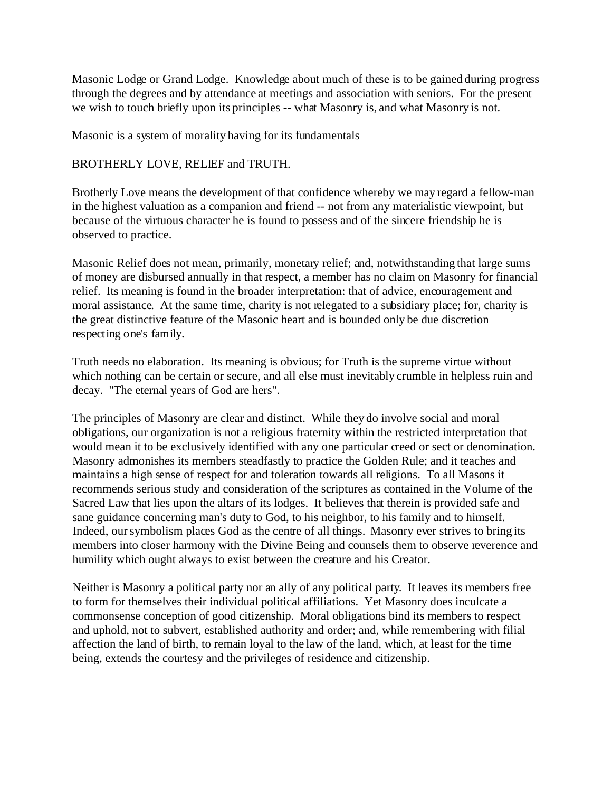Masonic Lodge or Grand Lodge. Knowledge about much of these is to be gained during progress through the degrees and by attendance at meetings and association with seniors. For the present we wish to touch briefly upon its principles -- what Masonry is, and what Masonry is not.

Masonic is a system of morality having for its fundamentals

## BROTHERLY LOVE, RELIEF and TRUTH.

Brotherly Love means the development of that confidence whereby we may regard a fellow-man in the highest valuation as a companion and friend -- not from any materialistic viewpoint, but because of the virtuous character he is found to possess and of the sincere friendship he is observed to practice.

Masonic Relief does not mean, primarily, monetary relief; and, notwithstanding that large sums of money are disbursed annually in that respect, a member has no claim on Masonry for financial relief. Its meaning is found in the broader interpretation: that of advice, encouragement and moral assistance. At the same time, charity is not relegated to a subsidiary place; for, charity is the great distinctive feature of the Masonic heart and is bounded only be due discretion respecting one's family.

Truth needs no elaboration. Its meaning is obvious; for Truth is the supreme virtue without which nothing can be certain or secure, and all else must inevitably crumble in helpless ruin and decay. "The eternal years of God are hers".

The principles of Masonry are clear and distinct. While they do involve social and moral obligations, our organization is not a religious fraternity within the restricted interpretation that would mean it to be exclusively identified with any one particular creed or sect or denomination. Masonry admonishes its members steadfastly to practice the Golden Rule; and it teaches and maintains a high sense of respect for and toleration towards all religions. To all Masons it recommends serious study and consideration of the scriptures as contained in the Volume of the Sacred Law that lies upon the altars of its lodges. It believes that therein is provided safe and sane guidance concerning man's duty to God, to his neighbor, to his family and to himself. Indeed, our symbolism places God as the centre of all things. Masonry ever strives to bring its members into closer harmony with the Divine Being and counsels them to observe reverence and humility which ought always to exist between the creature and his Creator.

Neither is Masonry a political party nor an ally of any political party. It leaves its members free to form for themselves their individual political affiliations. Yet Masonry does inculcate a commonsense conception of good citizenship. Moral obligations bind its members to respect and uphold, not to subvert, established authority and order; and, while remembering with filial affection the land of birth, to remain loyal to the law of the land, which, at least for the time being, extends the courtesy and the privileges of residence and citizenship.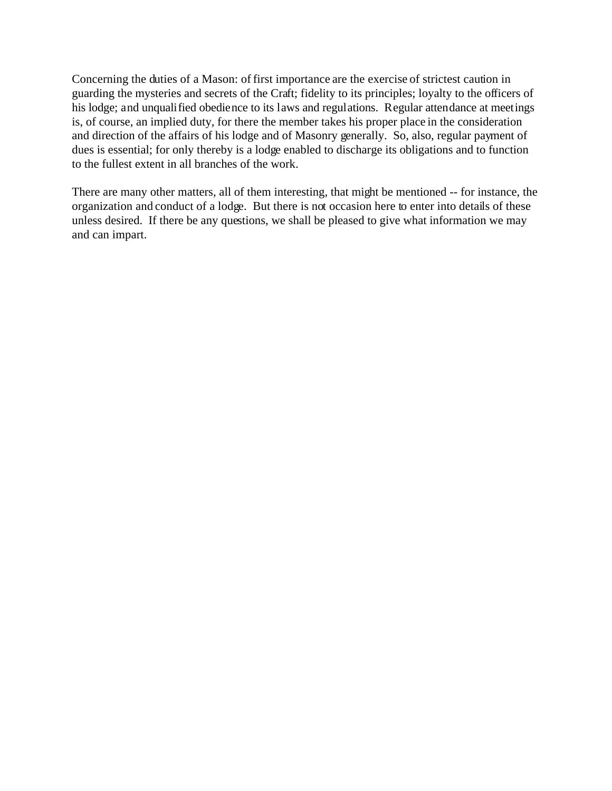Concerning the duties of a Mason: of first importance are the exercise of strictest caution in guarding the mysteries and secrets of the Craft; fidelity to its principles; loyalty to the officers of his lodge; and unqualified obedience to its laws and regulations. Regular attendance at meetings is, of course, an implied duty, for there the member takes his proper place in the consideration and direction of the affairs of his lodge and of Masonry generally. So, also, regular payment of dues is essential; for only thereby is a lodge enabled to discharge its obligations and to function to the fullest extent in all branches of the work.

There are many other matters, all of them interesting, that might be mentioned -- for instance, the organization and conduct of a lodge. But there is not occasion here to enter into details of these unless desired. If there be any questions, we shall be pleased to give what information we may and can impart.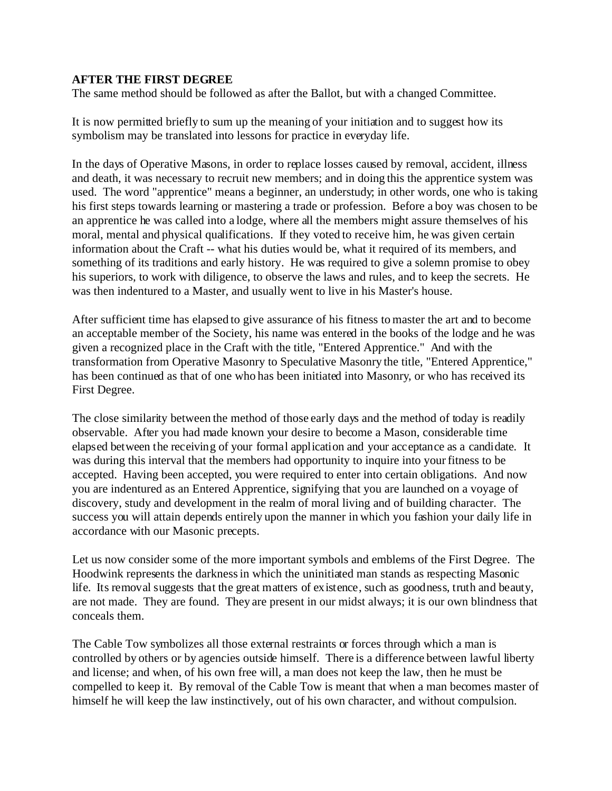## **AFTER THE FIRST DEGREE**

The same method should be followed as after the Ballot, but with a changed Committee.

It is now permitted briefly to sum up the meaning of your initiation and to suggest how its symbolism may be translated into lessons for practice in everyday life.

In the days of Operative Masons, in order to replace losses caused by removal, accident, illness and death, it was necessary to recruit new members; and in doing this the apprentice system was used. The word "apprentice" means a beginner, an understudy; in other words, one who is taking his first steps towards learning or mastering a trade or profession. Before a boy was chosen to be an apprentice he was called into a lodge, where all the members might assure themselves of his moral, mental and physical qualifications. If they voted to receive him, he was given certain information about the Craft -- what his duties would be, what it required of its members, and something of its traditions and early history. He was required to give a solemn promise to obey his superiors, to work with diligence, to observe the laws and rules, and to keep the secrets. He was then indentured to a Master, and usually went to live in his Master's house.

After sufficient time has elapsed to give assurance of his fitness to master the art and to become an acceptable member of the Society, his name was entered in the books of the lodge and he was given a recognized place in the Craft with the title, "Entered Apprentice." And with the transformation from Operative Masonry to Speculative Masonry the title, "Entered Apprentice," has been continued as that of one who has been initiated into Masonry, or who has received its First Degree.

The close similarity between the method of those early days and the method of today is readily observable. After you had made known your desire to become a Mason, considerable time elapsed between the receiving of your formal application and your acceptance as a candidate. It was during this interval that the members had opportunity to inquire into your fitness to be accepted. Having been accepted, you were required to enter into certain obligations. And now you are indentured as an Entered Apprentice, signifying that you are launched on a voyage of discovery, study and development in the realm of moral living and of building character. The success you will attain depends entirely upon the manner in which you fashion your daily life in accordance with our Masonic precepts.

Let us now consider some of the more important symbols and emblems of the First Degree. The Hoodwink represents the darkness in which the uninitiated man stands as respecting Masonic life. Its removal suggests that the great matters of existence, such as goodness, truth and beauty, are not made. They are found. They are present in our midst always; it is our own blindness that conceals them.

The Cable Tow symbolizes all those external restraints or forces through which a man is controlled by others or by agencies outside himself. There is a difference between lawful liberty and license; and when, of his own free will, a man does not keep the law, then he must be compelled to keep it. By removal of the Cable Tow is meant that when a man becomes master of himself he will keep the law instinctively, out of his own character, and without compulsion.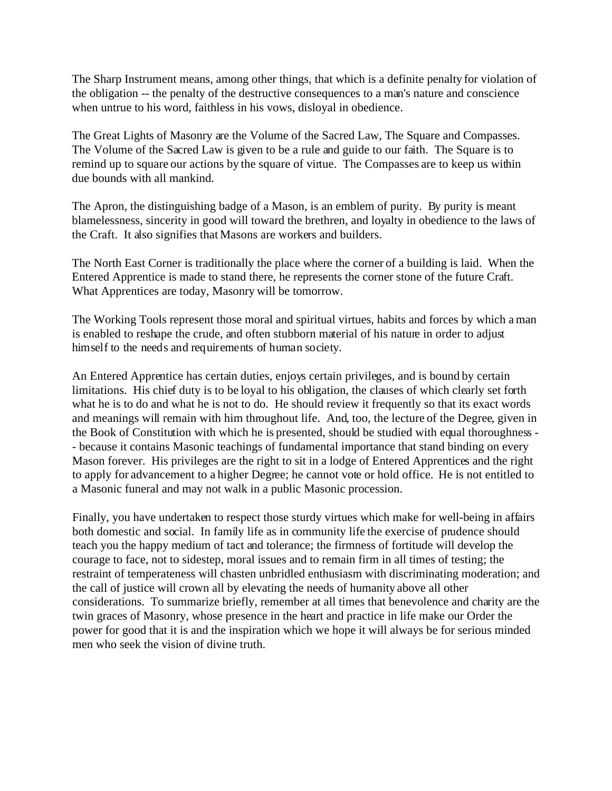The Sharp Instrument means, among other things, that which is a definite penalty for violation of the obligation -- the penalty of the destructive consequences to a man's nature and conscience when untrue to his word, faithless in his vows, disloyal in obedience.

The Great Lights of Masonry are the Volume of the Sacred Law, The Square and Compasses. The Volume of the Sacred Law is given to be a rule and guide to our faith. The Square is to remind up to square our actions by the square of virtue. The Compasses are to keep us within due bounds with all mankind.

The Apron, the distinguishing badge of a Mason, is an emblem of purity. By purity is meant blamelessness, sincerity in good will toward the brethren, and loyalty in obedience to the laws of the Craft. It also signifies that Masons are workers and builders.

The North East Corner is traditionally the place where the corner of a building is laid. When the Entered Apprentice is made to stand there, he represents the corner stone of the future Craft. What Apprentices are today, Masonry will be tomorrow.

The Working Tools represent those moral and spiritual virtues, habits and forces by which a man is enabled to reshape the crude, and often stubborn material of his nature in order to adjust himself to the needs and requirements of human society.

An Entered Apprentice has certain duties, enjoys certain privileges, and is bound by certain limitations. His chief duty is to be loyal to his obligation, the clauses of which clearly set forth what he is to do and what he is not to do. He should review it frequently so that its exact words and meanings will remain with him throughout life. And, too, the lecture of the Degree, given in the Book of Constitution with which he is presented, should be studied with equal thoroughness - - because it contains Masonic teachings of fundamental importance that stand binding on every Mason forever. His privileges are the right to sit in a lodge of Entered Apprentices and the right to apply for advancement to a higher Degree; he cannot vote or hold office. He is not entitled to a Masonic funeral and may not walk in a public Masonic procession.

Finally, you have undertaken to respect those sturdy virtues which make for well-being in affairs both domestic and social. In family life as in community life the exercise of prudence should teach you the happy medium of tact and tolerance; the firmness of fortitude will develop the courage to face, not to sidestep, moral issues and to remain firm in all times of testing; the restraint of temperateness will chasten unbridled enthusiasm with discriminating moderation; and the call of justice will crown all by elevating the needs of humanity above all other considerations. To summarize briefly, remember at all times that benevolence and charity are the twin graces of Masonry, whose presence in the heart and practice in life make our Order the power for good that it is and the inspiration which we hope it will always be for serious minded men who seek the vision of divine truth.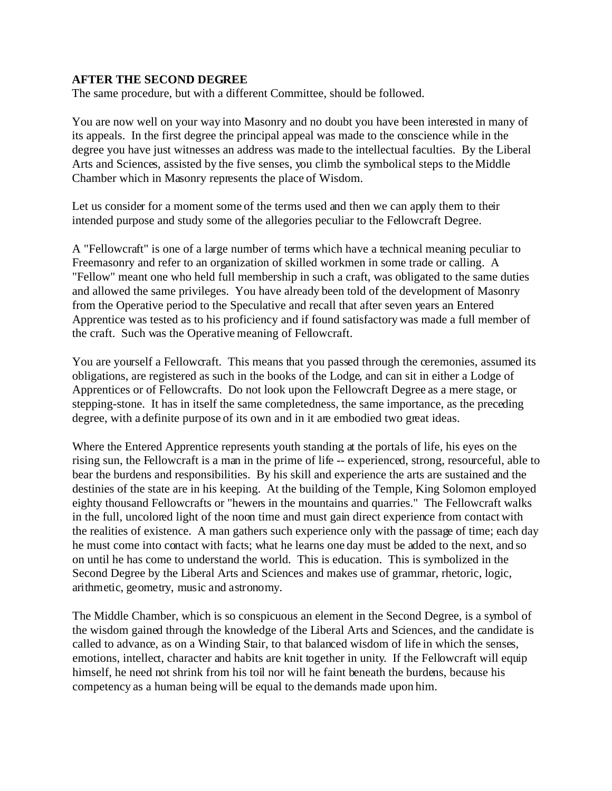#### **AFTER THE SECOND DEGREE**

The same procedure, but with a different Committee, should be followed.

You are now well on your way into Masonry and no doubt you have been interested in many of its appeals. In the first degree the principal appeal was made to the conscience while in the degree you have just witnesses an address was made to the intellectual faculties. By the Liberal Arts and Sciences, assisted by the five senses, you climb the symbolical steps to the Middle Chamber which in Masonry represents the place of Wisdom.

Let us consider for a moment some of the terms used and then we can apply them to their intended purpose and study some of the allegories peculiar to the Fellowcraft Degree.

A "Fellowcraft" is one of a large number of terms which have a technical meaning peculiar to Freemasonry and refer to an organization of skilled workmen in some trade or calling. A "Fellow" meant one who held full membership in such a craft, was obligated to the same duties and allowed the same privileges. You have already been told of the development of Masonry from the Operative period to the Speculative and recall that after seven years an Entered Apprentice was tested as to his proficiency and if found satisfactory was made a full member of the craft. Such was the Operative meaning of Fellowcraft.

You are yourself a Fellowcraft. This means that you passed through the ceremonies, assumed its obligations, are registered as such in the books of the Lodge, and can sit in either a Lodge of Apprentices or of Fellowcrafts. Do not look upon the Fellowcraft Degree as a mere stage, or stepping-stone. It has in itself the same completedness, the same importance, as the preceding degree, with a definite purpose of its own and in it are embodied two great ideas.

Where the Entered Apprentice represents youth standing at the portals of life, his eyes on the rising sun, the Fellowcraft is a man in the prime of life -- experienced, strong, resourceful, able to bear the burdens and responsibilities. By his skill and experience the arts are sustained and the destinies of the state are in his keeping. At the building of the Temple, King Solomon employed eighty thousand Fellowcrafts or "hewers in the mountains and quarries." The Fellowcraft walks in the full, uncolored light of the noon time and must gain direct experience from contact with the realities of existence. A man gathers such experience only with the passage of time; each day he must come into contact with facts; what he learns one day must be added to the next, and so on until he has come to understand the world. This is education. This is symbolized in the Second Degree by the Liberal Arts and Sciences and makes use of grammar, rhetoric, logic, arithmetic, geometry, music and astronomy.

The Middle Chamber, which is so conspicuous an element in the Second Degree, is a symbol of the wisdom gained through the knowledge of the Liberal Arts and Sciences, and the candidate is called to advance, as on a Winding Stair, to that balanced wisdom of life in which the senses, emotions, intellect, character and habits are knit together in unity. If the Fellowcraft will equip himself, he need not shrink from his toil nor will he faint beneath the burdens, because his competency as a human being will be equal to the demands made upon him.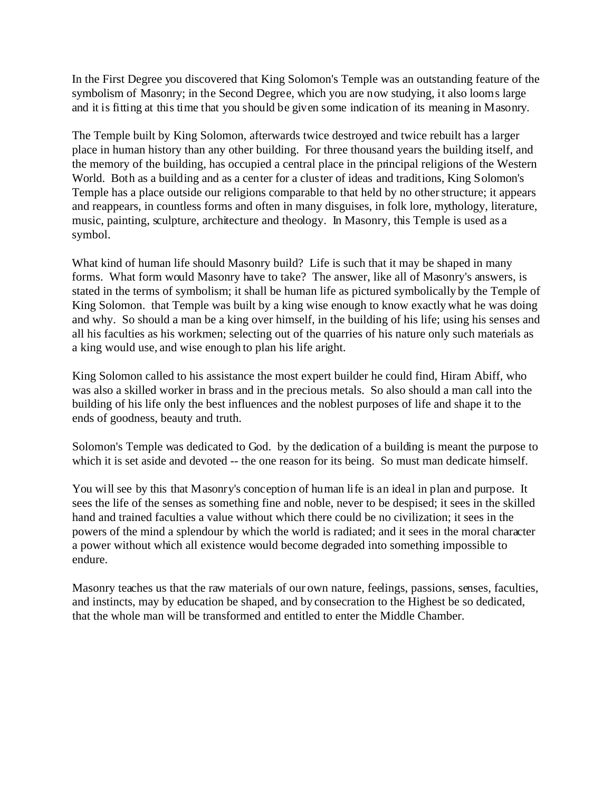In the First Degree you discovered that King Solomon's Temple was an outstanding feature of the symbolism of Masonry; in the Second Degree, which you are now studying, it also looms large and it is fitting at this time that you should be given some indication of its meaning in Masonry.

The Temple built by King Solomon, afterwards twice destroyed and twice rebuilt has a larger place in human history than any other building. For three thousand years the building itself, and the memory of the building, has occupied a central place in the principal religions of the Western World. Both as a building and as a center for a cluster of ideas and traditions, King Solomon's Temple has a place outside our religions comparable to that held by no other structure; it appears and reappears, in countless forms and often in many disguises, in folk lore, mythology, literature, music, painting, sculpture, architecture and theology. In Masonry, this Temple is used as a symbol.

What kind of human life should Masonry build? Life is such that it may be shaped in many forms. What form would Masonry have to take? The answer, like all of Masonry's answers, is stated in the terms of symbolism; it shall be human life as pictured symbolically by the Temple of King Solomon. that Temple was built by a king wise enough to know exactly what he was doing and why. So should a man be a king over himself, in the building of his life; using his senses and all his faculties as his workmen; selecting out of the quarries of his nature only such materials as a king would use, and wise enough to plan his life aright.

King Solomon called to his assistance the most expert builder he could find, Hiram Abiff, who was also a skilled worker in brass and in the precious metals. So also should a man call into the building of his life only the best influences and the noblest purposes of life and shape it to the ends of goodness, beauty and truth.

Solomon's Temple was dedicated to God. by the dedication of a building is meant the purpose to which it is set aside and devoted -- the one reason for its being. So must man dedicate himself.

You will see by this that Masonry's conception of human life is an ideal in plan and purpose. It sees the life of the senses as something fine and noble, never to be despised; it sees in the skilled hand and trained faculties a value without which there could be no civilization; it sees in the powers of the mind a splendour by which the world is radiated; and it sees in the moral character a power without which all existence would become degraded into something impossible to endure.

Masonry teaches us that the raw materials of our own nature, feelings, passions, senses, faculties, and instincts, may by education be shaped, and by consecration to the Highest be so dedicated, that the whole man will be transformed and entitled to enter the Middle Chamber.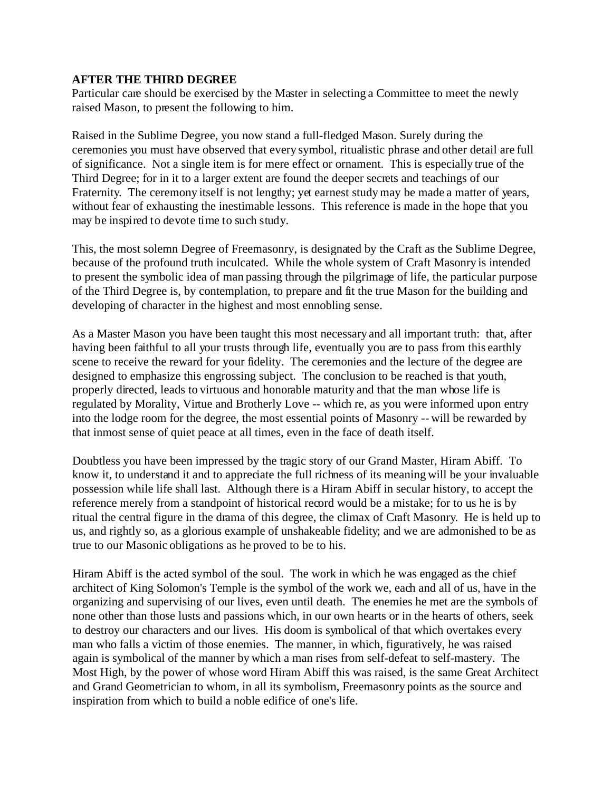#### **AFTER THE THIRD DEGREE**

Particular care should be exercised by the Master in selecting a Committee to meet the newly raised Mason, to present the following to him.

Raised in the Sublime Degree, you now stand a full-fledged Mason. Surely during the ceremonies you must have observed that every symbol, ritualistic phrase and other detail are full of significance. Not a single item is for mere effect or ornament. This is especially true of the Third Degree; for in it to a larger extent are found the deeper secrets and teachings of our Fraternity. The ceremony itself is not lengthy; yet earnest study may be made a matter of years, without fear of exhausting the inestimable lessons. This reference is made in the hope that you may be inspired to devote time to such study.

This, the most solemn Degree of Freemasonry, is designated by the Craft as the Sublime Degree, because of the profound truth inculcated. While the whole system of Craft Masonry is intended to present the symbolic idea of man passing through the pilgrimage of life, the particular purpose of the Third Degree is, by contemplation, to prepare and fit the true Mason for the building and developing of character in the highest and most ennobling sense.

As a Master Mason you have been taught this most necessary and all important truth: that, after having been faithful to all your trusts through life, eventually you are to pass from this earthly scene to receive the reward for your fidelity. The ceremonies and the lecture of the degree are designed to emphasize this engrossing subject. The conclusion to be reached is that youth, properly directed, leads to virtuous and honorable maturity and that the man whose life is regulated by Morality, Virtue and Brotherly Love -- which re, as you were informed upon entry into the lodge room for the degree, the most essential points of Masonry -- will be rewarded by that inmost sense of quiet peace at all times, even in the face of death itself.

Doubtless you have been impressed by the tragic story of our Grand Master, Hiram Abiff. To know it, to understand it and to appreciate the full richness of its meaning will be your invaluable possession while life shall last. Although there is a Hiram Abiff in secular history, to accept the reference merely from a standpoint of historical record would be a mistake; for to us he is by ritual the central figure in the drama of this degree, the climax of Craft Masonry. He is held up to us, and rightly so, as a glorious example of unshakeable fidelity; and we are admonished to be as true to our Masonic obligations as he proved to be to his.

Hiram Abiff is the acted symbol of the soul. The work in which he was engaged as the chief architect of King Solomon's Temple is the symbol of the work we, each and all of us, have in the organizing and supervising of our lives, even until death. The enemies he met are the symbols of none other than those lusts and passions which, in our own hearts or in the hearts of others, seek to destroy our characters and our lives. His doom is symbolical of that which overtakes every man who falls a victim of those enemies. The manner, in which, figuratively, he was raised again is symbolical of the manner by which a man rises from self-defeat to self-mastery. The Most High, by the power of whose word Hiram Abiff this was raised, is the same Great Architect and Grand Geometrician to whom, in all its symbolism, Freemasonry points as the source and inspiration from which to build a noble edifice of one's life.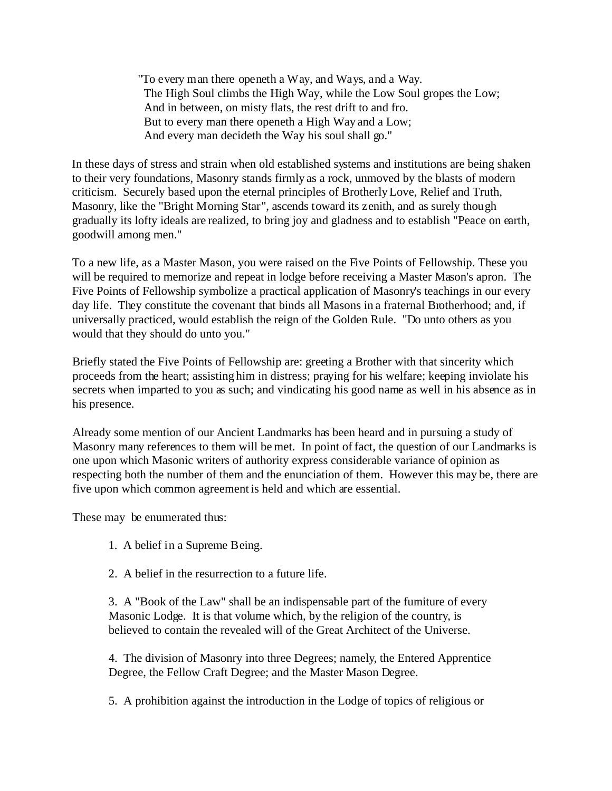"To every man there openeth a Way, and Ways, and a Way. The High Soul climbs the High Way, while the Low Soul gropes the Low; And in between, on misty flats, the rest drift to and fro. But to every man there openeth a High Way and a Low; And every man decideth the Way his soul shall go."

In these days of stress and strain when old established systems and institutions are being shaken to their very foundations, Masonry stands firmly as a rock, unmoved by the blasts of modern criticism. Securely based upon the eternal principles of Brotherly Love, Relief and Truth, Masonry, like the "Bright Morning Star", ascends toward its zenith, and as surely though gradually its lofty ideals are realized, to bring joy and gladness and to establish "Peace on earth, goodwill among men."

To a new life, as a Master Mason, you were raised on the Five Points of Fellowship. These you will be required to memorize and repeat in lodge before receiving a Master Mason's apron. The Five Points of Fellowship symbolize a practical application of Masonry's teachings in our every day life. They constitute the covenant that binds all Masons in a fraternal Brotherhood; and, if universally practiced, would establish the reign of the Golden Rule. "Do unto others as you would that they should do unto you."

Briefly stated the Five Points of Fellowship are: greeting a Brother with that sincerity which proceeds from the heart; assisting him in distress; praying for his welfare; keeping inviolate his secrets when imparted to you as such; and vindicating his good name as well in his absence as in his presence.

Already some mention of our Ancient Landmarks has been heard and in pursuing a study of Masonry many references to them will be met. In point of fact, the question of our Landmarks is one upon which Masonic writers of authority express considerable variance of opinion as respecting both the number of them and the enunciation of them. However this may be, there are five upon which common agreement is held and which are essential.

These may be enumerated thus:

- 1. A belief in a Supreme Being.
- 2. A belief in the resurrection to a future life.

3. A "Book of the Law" shall be an indispensable part of the furniture of every Masonic Lodge. It is that volume which, by the religion of the country, is believed to contain the revealed will of the Great Architect of the Universe.

4. The division of Masonry into three Degrees; namely, the Entered Apprentice Degree, the Fellow Craft Degree; and the Master Mason Degree.

5. A prohibition against the introduction in the Lodge of topics of religious or